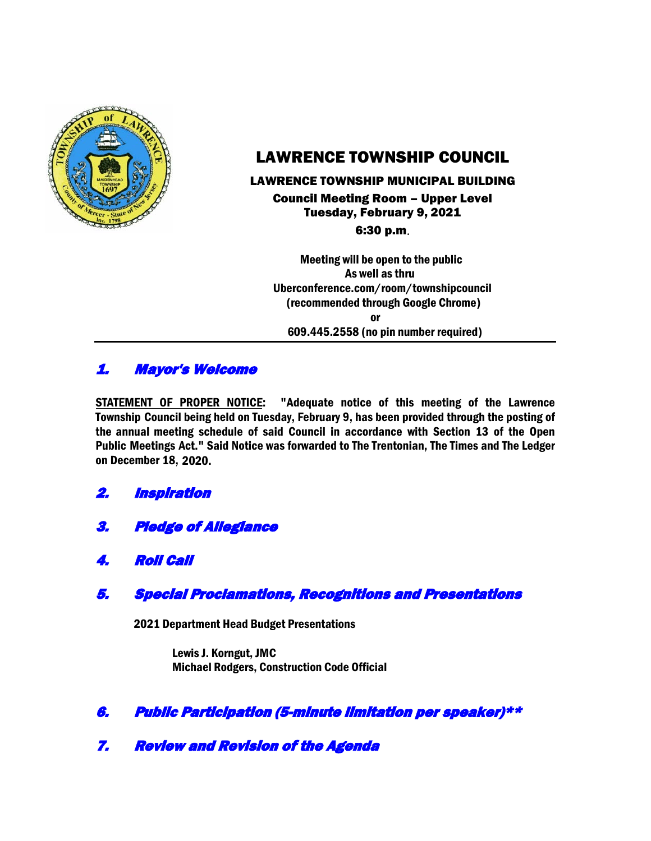

# LAWRENCE TOWNSHIP COUNCIL

### LAWRENCE TOWNSHIP MUNICIPAL BUILDING Council Meeting Room – Upper Level Tuesday, February 9, 2021

6:30 p.m.

Meeting will be open to the public As well as thru Uberconference.com/room/townshipcouncil (recommended through Google Chrome) or 609.445.2558 (no pin number required)

# 1. Mayor's Welcome

STATEMENT OF PROPER NOTICE: "Adequate notice of this meeting of the Lawrence Township Council being held on Tuesday, February 9, has been provided through the posting of the annual meeting schedule of said Council in accordance with Section 13 of the Open Public Meetings Act." Said Notice was forwarded to The Trentonian, The Times and The Ledger on December 18, 2020.

# 2. Inspiration

- 3. Pledge of Allegiance
- 4. Roll Call

# 5. Special Proclamations, Recognitions and Presentations

2021 Department Head Budget Presentations

Lewis J. Korngut, JMC Michael Rodgers, Construction Code Official

# 6. Public Participation (5-minute limitation per speaker)\*\*

7. Review and Revision of the Agenda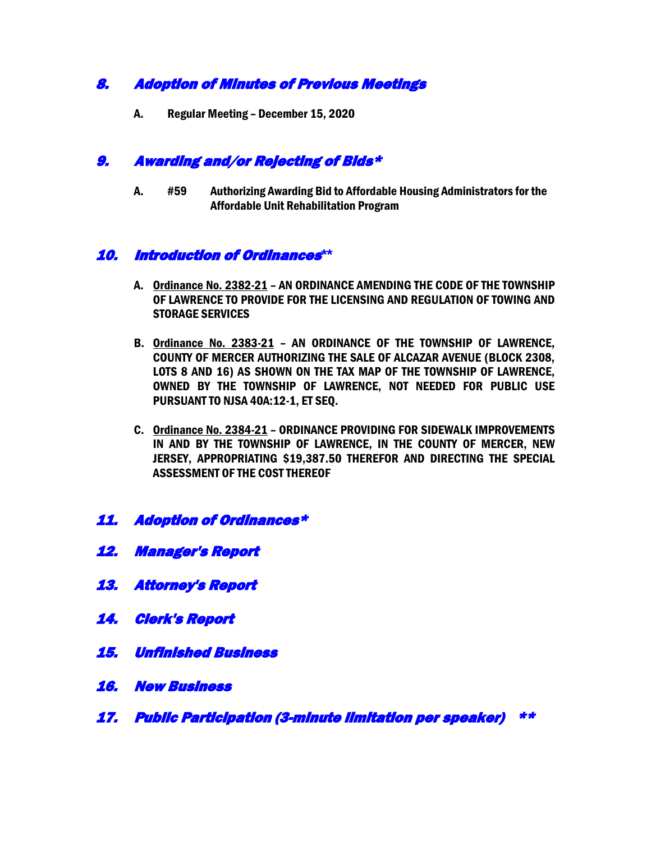# 8. Adoption of Minutes of Previous Meetings

A. Regular Meeting – December 15, 2020

### 9. Awarding and/or Rejecting of Bids\*

A. #59 Authorizing Awarding Bid to Affordable Housing Administrators for the Affordable Unit Rehabilitation Program

# 10. Introduction of Ordinances**\*\***

- A. Ordinance No. 2382-21 AN ORDINANCE AMENDING THE CODE OF THE TOWNSHIP OF LAWRENCE TO PROVIDE FOR THE LICENSING AND REGULATION OF TOWING AND STORAGE SERVICES
- B. Ordinance No. 2383-21 AN ORDINANCE OF THE TOWNSHIP OF LAWRENCE, COUNTY OF MERCER AUTHORIZING THE SALE OF ALCAZAR AVENUE (BLOCK 2308, LOTS 8 AND 16) AS SHOWN ON THE TAX MAP OF THE TOWNSHIP OF LAWRENCE, OWNED BY THE TOWNSHIP OF LAWRENCE, NOT NEEDED FOR PUBLIC USE PURSUANT TO NJSA 40A:12-1, ET SEQ.
- C. Ordinance No. 2384-21 ORDINANCE PROVIDING FOR SIDEWALK IMPROVEMENTS IN AND BY THE TOWNSHIP OF LAWRENCE, IN THE COUNTY OF MERCER, NEW JERSEY, APPROPRIATING \$19,387.50 THEREFOR AND DIRECTING THE SPECIAL ASSESSMENT OF THE COST THEREOF
- 11. Adoption of Ordinances\*
- 12. Manager's Report
- 13. Attorney's Report
- 14. Clerk's Report
- 15. Unfinished Business
- 16. New Business
- 17. Public Participation (3-minute limitation per speaker) \*\*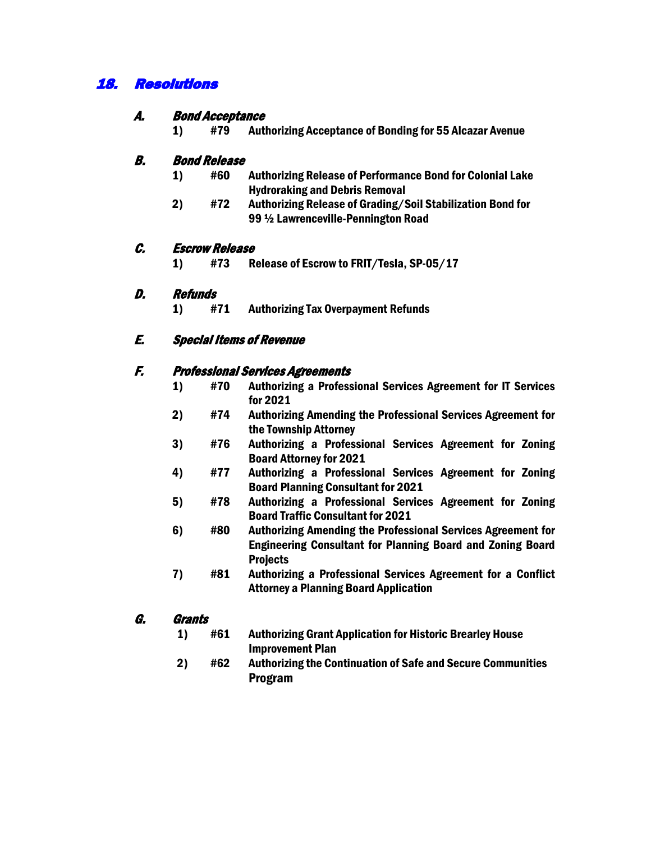# 18. Resolutions

### A. Bond Acceptance

1) #79 Authorizing Acceptance of Bonding for 55 Alcazar Avenue

### B. Bond Release

- 1) #60 Authorizing Release of Performance Bond for Colonial Lake Hydroraking and Debris Removal
- 2) #72 Authorizing Release of Grading/Soil Stabilization Bond for 99 ½ Lawrenceville-Pennington Road

#### C. Escrow Release

1) #73 Release of Escrow to FRIT/Tesla, SP-05/17

### D. Refunds

1) #71 Authorizing Tax Overpayment Refunds

### E. Special Items of Revenue

#### F. Professional Services Agreements

- 1) #70 Authorizing a Professional Services Agreement for IT Services for 2021
- 2) #74 Authorizing Amending the Professional Services Agreement for the Township Attorney
- 3) #76 Authorizing a Professional Services Agreement for Zoning Board Attorney for 2021
- 4) #77 Authorizing a Professional Services Agreement for Zoning Board Planning Consultant for 2021
- 5) #78 Authorizing a Professional Services Agreement for Zoning Board Traffic Consultant for 2021
- 6) #80 Authorizing Amending the Professional Services Agreement for Engineering Consultant for Planning Board and Zoning Board Projects
- 7) #81 Authorizing a Professional Services Agreement for a Conflict Attorney a Planning Board Application

### G. Grants

- 1) #61 Authorizing Grant Application for Historic Brearley House Improvement Plan
- 2) #62 Authorizing the Continuation of Safe and Secure Communities Program